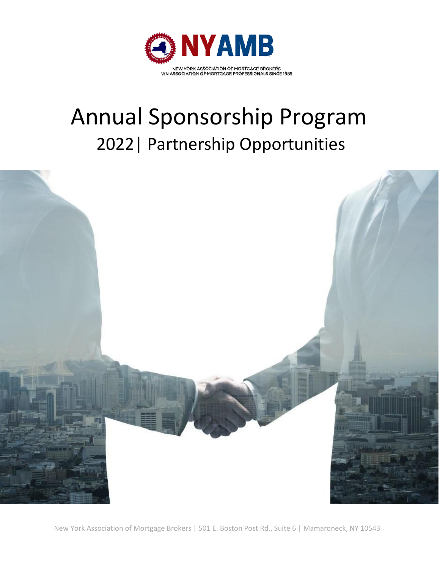

# Annual Sponsorship Program 2022| Partnership Opportunities



New York Association of Mortgage Brokers | 501 E. Boston Post Rd., Suite 6 | Mamaroneck, NY 10543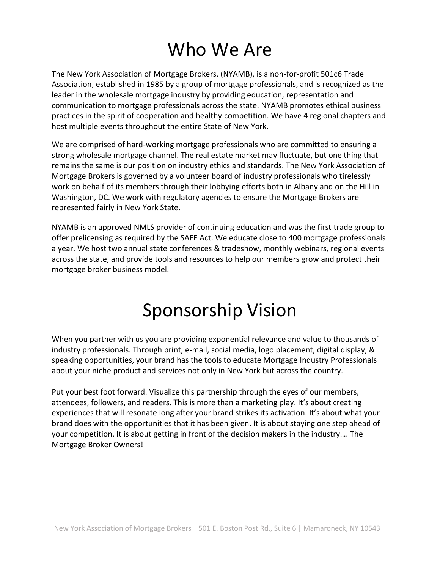## Who We Are

The New York Association of Mortgage Brokers, (NYAMB), is a non-for-profit 501c6 Trade Association, established in 1985 by a group of mortgage professionals, and is recognized as the leader in the wholesale mortgage industry by providing education, representation and communication to mortgage professionals across the state. NYAMB promotes ethical business practices in the spirit of cooperation and healthy competition. We have 4 regional chapters and host multiple events throughout the entire State of New York.

We are comprised of hard-working mortgage professionals who are committed to ensuring a strong wholesale mortgage channel. The real estate market may fluctuate, but one thing that remains the same is our position on industry ethics and standards. The New York Association of Mortgage Brokers is governed by a volunteer board of industry professionals who tirelessly work on behalf of its members through their lobbying efforts both in Albany and on the Hill in Washington, DC. We work with regulatory agencies to ensure the Mortgage Brokers are represented fairly in New York State.

NYAMB is an approved NMLS provider of continuing education and was the first trade group to offer prelicensing as required by the SAFE Act. We educate close to 400 mortgage professionals a year. We host two annual state conferences & tradeshow, monthly webinars, regional events across the state, and provide tools and resources to help our members grow and protect their mortgage broker business model.

## Sponsorship Vision

When you partner with us you are providing exponential relevance and value to thousands of industry professionals. Through print, e-mail, social media, logo placement, digital display, & speaking opportunities, your brand has the tools to educate Mortgage Industry Professionals about your niche product and services not only in New York but across the country.

Put your best foot forward. Visualize this partnership through the eyes of our members, attendees, followers, and readers. This is more than a marketing play. It's about creating experiences that will resonate long after your brand strikes its activation. It's about what your brand does with the opportunities that it has been given. It is about staying one step ahead of your competition. It is about getting in front of the decision makers in the industry…. The Mortgage Broker Owners!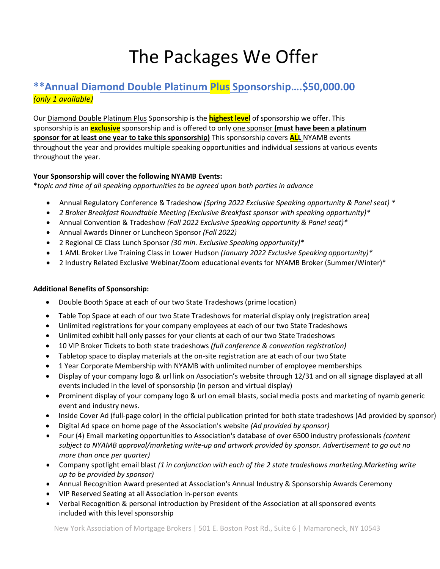## The Packages We Offer

### **\*\*Annual Diamond Double Platinum Plus Sponsorship….\$50,000.00** *(only 1 available)*

Our Diamond Double Platinum Plus Sponsorship is the **highest level** of sponsorship we offer. This sponsorship is an **exclusive** sponsorship and is offered to only one sponsor **(must have been a platinum sponsor for at least one year to take this sponsorship)** This sponsorship covers **ALL** NYAMB events throughout the year and provides multiple speaking opportunities and individual sessions at various events throughout the year.

#### **Your Sponsorship will cover the following NYAMB Events:**

**\****topic and time of all speaking opportunities to be agreed upon both parties in advance*

- Annual Regulatory Conference & Tradeshow *(Spring 2022 Exclusive Speaking opportunity & Panel seat) \**
- *2 Broker Breakfast Roundtable Meeting (Exclusive Breakfast sponsor with speaking opportunity)\**
- Annual Convention & Tradeshow *(Fall 2022 Exclusive Speaking opportunity & Panel seat)\**
- Annual Awards Dinner or Luncheon Sponsor *(Fall 2022)*
- 2 Regional CE Class Lunch Sponsor *(30 min. Exclusive Speaking opportunity)\**
- 1 AML Broker Live Training Class in Lower Hudson *(January 2022 Exclusive Speaking opportunity)\**
- 2 Industry Related Exclusive Webinar/Zoom educational events for NYAMB Broker (Summer/Winter)\*

#### **Additional Benefits of Sponsorship:**

- Double Booth Space at each of our two State Tradeshows (prime location)
- Table Top Space at each of our two State Tradeshows for material display only (registration area)
- Unlimited registrations for your company employees at each of our two State Tradeshows
- Unlimited exhibit hall only passes for your clients at each of our two State Tradeshows
- 10 VIP Broker Tickets to both state tradeshows *(full conference & convention registration)*
- Tabletop space to display materials at the on-site registration are at each of our two State
- 1 Year Corporate Membership with NYAMB with unlimited number of employee memberships
- Display of your company logo & url link on Association's website through 12/31 and on all signage displayed at all events included in the level of sponsorship (in person and virtual display)
- Prominent display of your company logo & url on email blasts, social media posts and marketing of nyamb generic event and industry news.
- Inside Cover Ad (full-page color) in the official publication printed for both state tradeshows (Ad provided by sponsor)
- Digital Ad space on home page of the Association's website *(Ad provided by sponsor)*
- Four (4) Email marketing opportunities to Association's database of over 6500 industry professionals *(content subject to NYAMB approval/marketing write-up and artwork provided by sponsor. Advertisement to go out no more than once per quarter)*
- Company spotlight email blast *(1 in conjunction with each of the 2 state tradeshows marketing.Marketing write up to be provided by sponsor)*
- Annual Recognition Award presented at Association's Annual Industry & Sponsorship Awards Ceremony
- VIP Reserved Seating at all Association in-person events
- Verbal Recognition & personal introduction by President of the Association at all sponsored events included with this level sponsorship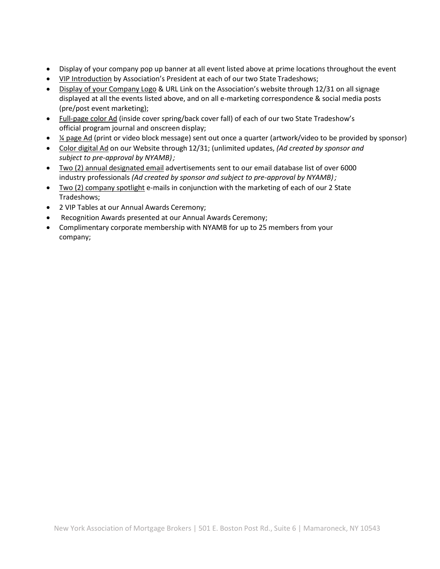- Display of your company pop up banner at all event listed above at prime locations throughout the event
- VIP Introduction by Association's President at each of our two State Tradeshows;
- Display of your Company Logo & URL Link on the Association's website through 12/31 on all signage displayed at all the events listed above, and on all e-marketing correspondence & social media posts (pre/post event marketing);
- Full-page color Ad (inside cover spring/back cover fall) of each of our two State Tradeshow's official program journal and onscreen display;
- ¼ page Ad (print or video block message) sent out once a quarter (artwork/video to be provided by sponsor)
- Color digital Ad on our Website through 12/31; (unlimited updates, *(Ad created by sponsor and subject to pre-approval by NYAMB);*
- Two (2) annual designated email advertisements sent to our email database list of over 6000 industry professionals *(Ad created by sponsor and subject to pre-approval by NYAMB);*
- Two (2) company spotlight e-mails in conjunction with the marketing of each of our 2 State Tradeshows;
- 2 VIP Tables at our Annual Awards Ceremony;
- Recognition Awards presented at our Annual Awards Ceremony;
- Complimentary corporate membership with NYAMB for up to 25 members from your company;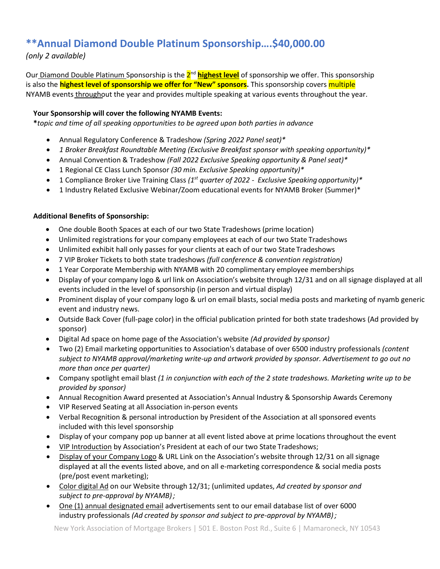## **\*\*Annual Diamond Double Platinum Sponsorship….\$40,000.00**

*(only 2 available)*

Our<u> Diamond Double Platinum S</u>ponsorship is the <mark>2<sup>nd</sup> highest level</mark> of sponsorship we offer. This sponsorship is also the **highest level of sponsorship we offer for "New" sponsors.** This sponsorship covers multiple NYAMB events throughout the year and provides multiple speaking at various events throughout the year.

#### **Your Sponsorship will cover the following NYAMB Events:**

**\****topic and time of all speaking opportunities to be agreed upon both parties in advance*

- Annual Regulatory Conference & Tradeshow *(Spring 2022 Panel seat)\**
- *1 Broker Breakfast Roundtable Meeting (Exclusive Breakfast sponsor with speaking opportunity)\**
- Annual Convention & Tradeshow *(Fall 2022 Exclusive Speaking opportunity & Panel seat)\**
- 1 Regional CE Class Lunch Sponsor *(30 min. Exclusive Speaking opportunity)\**
- 1 Compliance Broker Live Training Class *(1 st quarter of 2022 - Exclusive Speaking opportunity)\**
- 1 Industry Related Exclusive Webinar/Zoom educational events for NYAMB Broker (Summer)\*

#### **Additional Benefits of Sponsorship:**

- One double Booth Spaces at each of our two State Tradeshows (prime location)
- Unlimited registrations for your company employees at each of our two State Tradeshows
- Unlimited exhibit hall only passes for your clients at each of our two State Tradeshows
- 7 VIP Broker Tickets to both state tradeshows *(full conference & convention registration)*
- 1 Year Corporate Membership with NYAMB with 20 complimentary employee memberships
- Display of your company logo & url link on Association's website through 12/31 and on all signage displayed at all events included in the level of sponsorship (in person and virtual display)
- Prominent display of your company logo & url on email blasts, social media posts and marketing of nyamb generic event and industry news.
- Outside Back Cover (full-page color) in the official publication printed for both state tradeshows (Ad provided by sponsor)
- Digital Ad space on home page of the Association's website *(Ad provided by sponsor)*
- Two (2) Email marketing opportunities to Association's database of over 6500 industry professionals *(content subject to NYAMB approval/marketing write-up and artwork provided by sponsor. Advertisement to go out no more than once per quarter)*
- Company spotlight email blast *(1 in conjunction with each of the 2 state tradeshows. Marketing write up to be provided by sponsor)*
- Annual Recognition Award presented at Association's Annual Industry & Sponsorship Awards Ceremony
- VIP Reserved Seating at all Association in-person events
- Verbal Recognition & personal introduction by President of the Association at all sponsored events included with this level sponsorship
- Display of your company pop up banner at all event listed above at prime locations throughout the event
- VIP Introduction by Association's President at each of our two State Tradeshows;
- Display of your Company Logo & URL Link on the Association's website through 12/31 on all signage displayed at all the events listed above, and on all e-marketing correspondence & social media posts (pre/post event marketing);
- Color digital Ad on our Website through 12/31; (unlimited updates, *Ad created by sponsor and subject to pre-approval by NYAMB);*
- One (1) annual designated email advertisements sent to our email database list of over 6000 industry professionals *(Ad created by sponsor and subject to pre-approval by NYAMB);*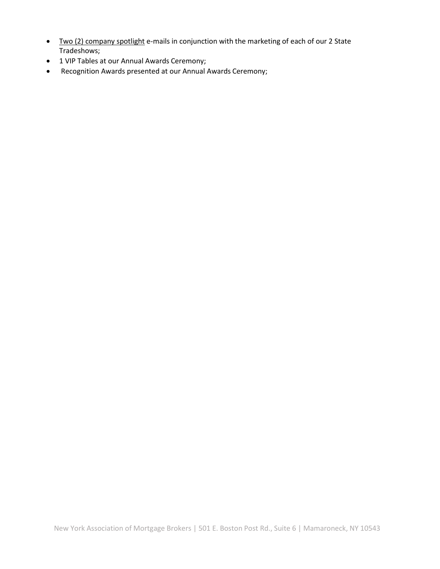- Two (2) company spotlight e-mails in conjunction with the marketing of each of our 2 State Tradeshows;
- 1 VIP Tables at our Annual Awards Ceremony;
- Recognition Awards presented at our Annual Awards Ceremony;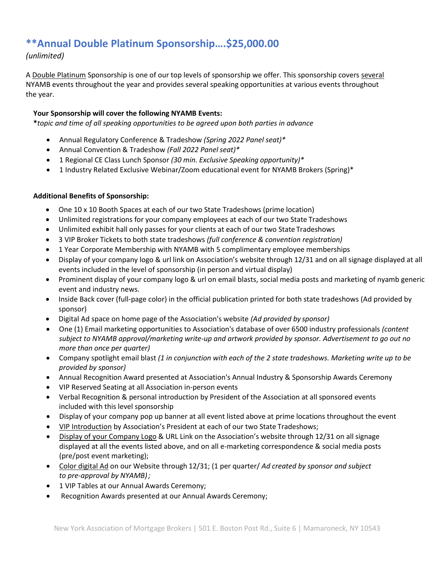## **\*\*Annual Double Platinum Sponsorship….\$25,000.00**

#### *(unlimited)*

A Double Platinum Sponsorship is one of our top levels of sponsorship we offer. This sponsorship covers several NYAMB events throughout the year and provides several speaking opportunities at various events throughout the year.

#### **Your Sponsorship will cover the following NYAMB Events:**

**\****topic and time of all speaking opportunities to be agreed upon both parties in advance*

- Annual Regulatory Conference & Tradeshow *(Spring 2022 Panel seat)\**
- Annual Convention & Tradeshow *(Fall 2022 Panel seat)\**
- 1 Regional CE Class Lunch Sponsor *(30 min. Exclusive Speaking opportunity)\**
- 1 Industry Related Exclusive Webinar/Zoom educational event for NYAMB Brokers (Spring)\*

#### **Additional Benefits of Sponsorship:**

- One 10 x 10 Booth Spaces at each of our two State Tradeshows (prime location)
- Unlimited registrations for your company employees at each of our two State Tradeshows
- Unlimited exhibit hall only passes for your clients at each of our two State Tradeshows
- 3 VIP Broker Tickets to both state tradeshows *(full conference & convention registration)*
- 1 Year Corporate Membership with NYAMB with 5 complimentary employee memberships
- Display of your company logo & url link on Association's website through 12/31 and on all signage displayed at all events included in the level of sponsorship (in person and virtual display)
- Prominent display of your company logo & url on email blasts, social media posts and marketing of nyamb generic event and industry news.
- Inside Back cover (full-page color) in the official publication printed for both state tradeshows (Ad provided by sponsor)
- Digital Ad space on home page of the Association's website *(Ad provided by sponsor)*
- One (1) Email marketing opportunities to Association's database of over 6500 industry professionals *(content subject to NYAMB approval/marketing write-up and artwork provided by sponsor. Advertisement to go out no more than once per quarter)*
- Company spotlight email blast *(1 in conjunction with each of the 2 state tradeshows. Marketing write up to be provided by sponsor)*
- Annual Recognition Award presented at Association's Annual Industry & Sponsorship Awards Ceremony
- VIP Reserved Seating at all Association in-person events
- Verbal Recognition & personal introduction by President of the Association at all sponsored events included with this level sponsorship
- Display of your company pop up banner at all event listed above at prime locations throughout the event
- VIP Introduction by Association's President at each of our two State Tradeshows;
- Display of your Company Logo & URL Link on the Association's website through 12/31 on all signage displayed at all the events listed above, and on all e-marketing correspondence & social media posts (pre/post event marketing);
- Color digital Ad on our Website through 12/31; (1 per quarter/ *Ad created by sponsor and subject to pre-approval by NYAMB);*
- 1 VIP Tables at our Annual Awards Ceremony;
- Recognition Awards presented at our Annual Awards Ceremony;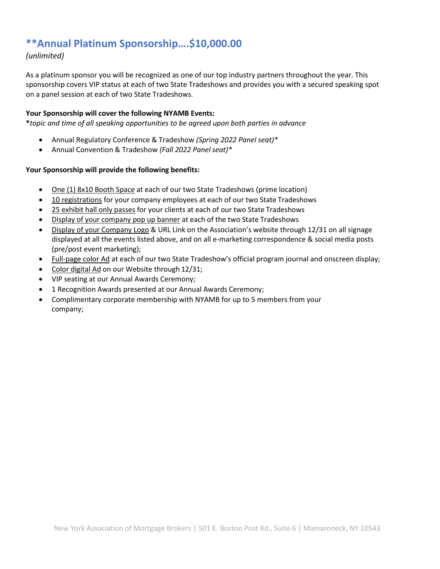## **\*\*Annual Platinum Sponsorship….\$10,000.00**

#### *(unlimited)*

As a platinum sponsor you will be recognized as one of our top industry partners throughout the year. This sponsorship covers VIP status at each of two State Tradeshows and provides you with a secured speaking spot on a panel session at each of two State Tradeshows.

#### **Your Sponsorship will cover the following NYAMB Events:**

**\****topic and time of all speaking opportunities to be agreed upon both parties in advance*

- Annual Regulatory Conference & Tradeshow *(Spring 2022 Panel seat)\**
- Annual Convention & Tradeshow *(Fall 2022 Panel seat)\**

#### **Your Sponsorship will provide the following benefits:**

- One (1) 8x10 Booth Space at each of our two State Tradeshows (prime location)
- 10 registrations for your company employees at each of our two State Tradeshows
- 25 exhibit hall only passes for your clients at each of our two State Tradeshows
- Display of your company pop up banner at each of the two State Tradeshows
- Display of your Company Logo & URL Link on the Association's website through 12/31 on all signage displayed at all the events listed above, and on all e-marketing correspondence & social media posts (pre/post event marketing);
- Full-page color Ad at each of our two State Tradeshow's official program journal and onscreen display;
- Color digital Ad on our Website through 12/31;
- VIP seating at our Annual Awards Ceremony;
- 1 Recognition Awards presented at our Annual Awards Ceremony;
- Complimentary corporate membership with NYAMB for up to 5 members from your company;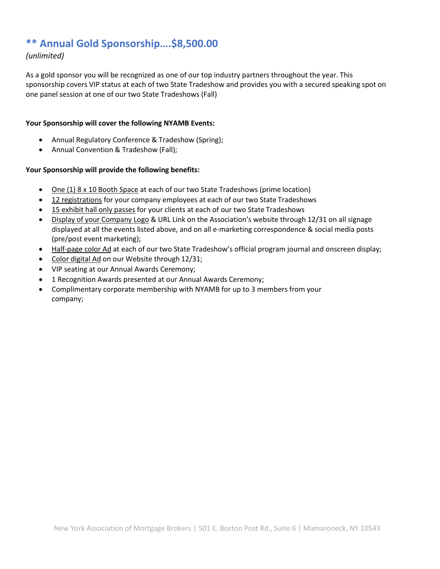## **\*\* Annual Gold Sponsorship….\$8,500.00**

#### *(unlimited)*

As a gold sponsor you will be recognized as one of our top industry partners throughout the year. This sponsorship covers VIP status at each of two State Tradeshow and provides you with a secured speaking spot on one panel session at one of our two State Tradeshows (Fall)

#### **Your Sponsorship will cover the following NYAMB Events:**

- Annual Regulatory Conference & Tradeshow (Spring);
- Annual Convention & Tradeshow (Fall);

#### **Your Sponsorship will provide the following benefits:**

- One (1) 8 x 10 Booth Space at each of our two State Tradeshows (prime location)
- 12 registrations for your company employees at each of our two State Tradeshows
- 15 exhibit hall only passes for your clients at each of our two State Tradeshows
- Display of your Company Logo & URL Link on the Association's website through 12/31 on all signage displayed at all the events listed above, and on all e-marketing correspondence & social media posts (pre/post event marketing);
- Half-page color Ad at each of our two State Tradeshow's official program journal and onscreen display;
- Color digital Ad on our Website through 12/31;
- VIP seating at our Annual Awards Ceremony;
- 1 Recognition Awards presented at our Annual Awards Ceremony;
- Complimentary corporate membership with NYAMB for up to 3 members from your company;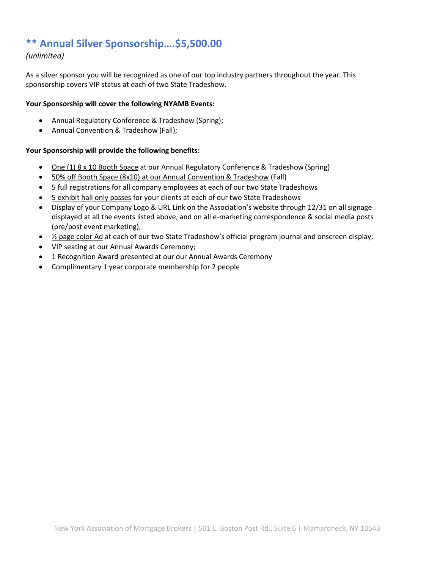## **\*\* Annual Silver Sponsorship….\$5,500.00**

#### *(unlimited)*

As a silver sponsor you will be recognized as one of our top industry partners throughout the year. This sponsorship covers VIP status at each of two State Tradeshow.

#### **Your Sponsorship will cover the following NYAMB Events:**

- Annual Regulatory Conference & Tradeshow (Spring);
- Annual Convention & Tradeshow (Fall);

#### **Your Sponsorship will provide the following benefits:**

- One (1) 8 x 10 Booth Space at our Annual Regulatory Conference & Tradeshow (Spring)
- 50% off Booth Space (8x10) at our Annual Convention & Tradeshow (Fall)
- 5 full registrations for all company employees at each of our two State Tradeshows
- 5 exhibit hall only passes for your clients at each of our two State Tradeshows
- Display of your Company Logo & URL Link on the Association's website through 12/31 on all signage displayed at all the events listed above, and on all e-marketing correspondence & social media posts (pre/post event marketing);
- $\frac{1}{2}$  page color Ad at each of our two State Tradeshow's official program journal and onscreen display;
- VIP seating at our Annual Awards Ceremony;
- 1 Recognition Award presented at our our Annual Awards Ceremony
- Complimentary 1 year corporate membership for 2 people